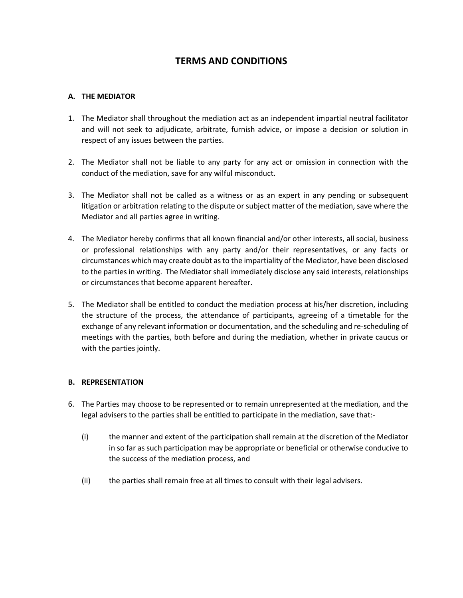# **TERMS AND CONDITIONS**

# **A. THE MEDIATOR**

- 1. The Mediator shall throughout the mediation act as an independent impartial neutral facilitator and will not seek to adjudicate, arbitrate, furnish advice, or impose a decision or solution in respect of any issues between the parties.
- 2. The Mediator shall not be liable to any party for any act or omission in connection with the conduct of the mediation, save for any wilful misconduct.
- 3. The Mediator shall not be called as a witness or as an expert in any pending or subsequent litigation or arbitration relating to the dispute or subject matter of the mediation, save where the Mediator and all parties agree in writing.
- 4. The Mediator hereby confirms that all known financial and/or other interests, all social, business or professional relationships with any party and/or their representatives, or any facts or circumstances which may create doubt as to the impartiality of the Mediator, have been disclosed to the parties in writing. The Mediator shall immediately disclose any said interests, relationships or circumstances that become apparent hereafter.
- 5. The Mediator shall be entitled to conduct the mediation process at his/her discretion, including the structure of the process, the attendance of participants, agreeing of a timetable for the exchange of any relevant information or documentation, and the scheduling and re-scheduling of meetings with the parties, both before and during the mediation, whether in private caucus or with the parties jointly.

## **B. REPRESENTATION**

- 6. The Parties may choose to be represented or to remain unrepresented at the mediation, and the legal advisers to the parties shall be entitled to participate in the mediation, save that:-
	- (i) the manner and extent of the participation shall remain at the discretion of the Mediator in so far as such participation may be appropriate or beneficial or otherwise conducive to the success of the mediation process, and
	- (ii) the parties shall remain free at all times to consult with their legal advisers.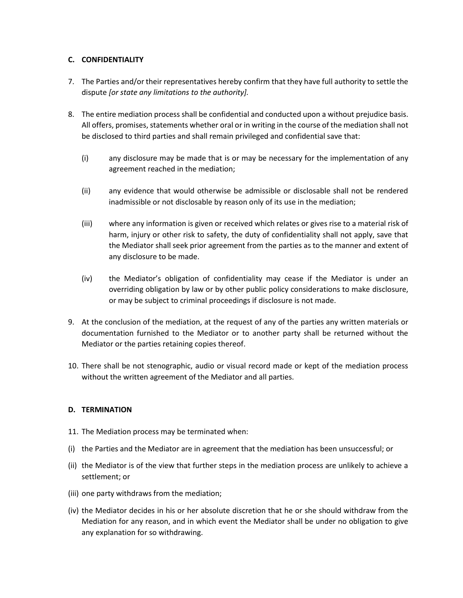# **C. CONFIDENTIALITY**

- 7. The Parties and/or their representatives hereby confirm that they have full authority to settle the dispute *[or state any limitations to the authority].*
- 8. The entire mediation process shall be confidential and conducted upon a without prejudice basis. All offers, promises, statements whether oral or in writing in the course of the mediation shall not be disclosed to third parties and shall remain privileged and confidential save that:
	- (i) any disclosure may be made that is or may be necessary for the implementation of any agreement reached in the mediation;
	- (ii) any evidence that would otherwise be admissible or disclosable shall not be rendered inadmissible or not disclosable by reason only of its use in the mediation;
	- (iii) where any information is given or received which relates or gives rise to a material risk of harm, injury or other risk to safety, the duty of confidentiality shall not apply, save that the Mediator shall seek prior agreement from the parties as to the manner and extent of any disclosure to be made.
	- (iv) the Mediator's obligation of confidentiality may cease if the Mediator is under an overriding obligation by law or by other public policy considerations to make disclosure, or may be subject to criminal proceedings if disclosure is not made.
- 9. At the conclusion of the mediation, at the request of any of the parties any written materials or documentation furnished to the Mediator or to another party shall be returned without the Mediator or the parties retaining copies thereof.
- 10. There shall be not stenographic, audio or visual record made or kept of the mediation process without the written agreement of the Mediator and all parties.

## **D. TERMINATION**

- 11. The Mediation process may be terminated when:
- (i) the Parties and the Mediator are in agreement that the mediation has been unsuccessful; or
- (ii) the Mediator is of the view that further steps in the mediation process are unlikely to achieve a settlement; or
- (iii) one party withdraws from the mediation;
- (iv) the Mediator decides in his or her absolute discretion that he or she should withdraw from the Mediation for any reason, and in which event the Mediator shall be under no obligation to give any explanation for so withdrawing.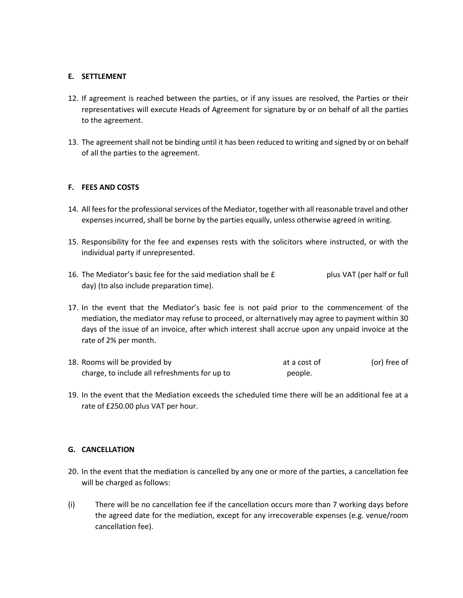#### **E. SETTLEMENT**

- 12. If agreement is reached between the parties, or if any issues are resolved, the Parties or their representatives will execute Heads of Agreement for signature by or on behalf of all the parties to the agreement.
- 13. The agreement shall not be binding until it has been reduced to writing and signed by or on behalf of all the parties to the agreement.

#### **F. FEES AND COSTS**

- 14. All fees for the professional services of the Mediator, together with all reasonable travel and other expenses incurred, shall be borne by the parties equally, unless otherwise agreed in writing.
- 15. Responsibility for the fee and expenses rests with the solicitors where instructed, or with the individual party if unrepresented.
- 16. The Mediator's basic fee for the said mediation shall be £ plus VAT (per half or full day) (to also include preparation time).
- 17. In the event that the Mediator's basic fee is not paid prior to the commencement of the mediation, the mediator may refuse to proceed, or alternatively may agree to payment within 30 days of the issue of an invoice, after which interest shall accrue upon any unpaid invoice at the rate of 2% per month.
- 18. Rooms will be provided by a cost of the cost of the cost of the cost of the cost of the cost of the cost of the cost of the cost of the cost of the cost of the cost of the cost of the cost of the cost of the cost of th charge, to include all refreshments for up to people.
- 19. In the event that the Mediation exceeds the scheduled time there will be an additional fee at a rate of £250.00 plus VAT per hour.

#### **G. CANCELLATION**

- 20. In the event that the mediation is cancelled by any one or more of the parties, a cancellation fee will be charged as follows:
- (i) There will be no cancellation fee if the cancellation occurs more than 7 working days before the agreed date for the mediation, except for any irrecoverable expenses (e.g. venue/room cancellation fee).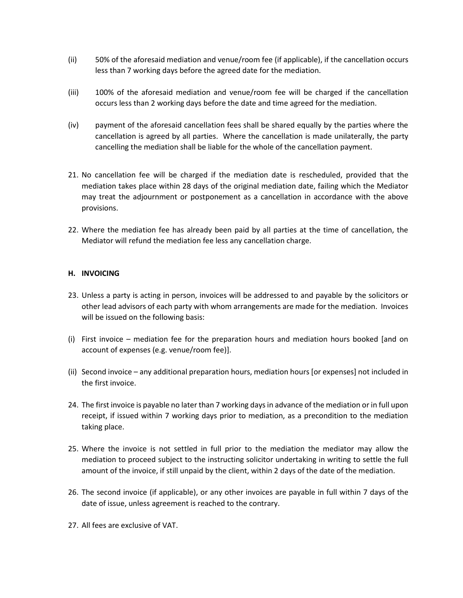- (ii) 50% of the aforesaid mediation and venue/room fee (if applicable), if the cancellation occurs less than 7 working days before the agreed date for the mediation.
- (iii) 100% of the aforesaid mediation and venue/room fee will be charged if the cancellation occurs less than 2 working days before the date and time agreed for the mediation.
- (iv) payment of the aforesaid cancellation fees shall be shared equally by the parties where the cancellation is agreed by all parties. Where the cancellation is made unilaterally, the party cancelling the mediation shall be liable for the whole of the cancellation payment.
- 21. No cancellation fee will be charged if the mediation date is rescheduled, provided that the mediation takes place within 28 days of the original mediation date, failing which the Mediator may treat the adjournment or postponement as a cancellation in accordance with the above provisions.
- 22. Where the mediation fee has already been paid by all parties at the time of cancellation, the Mediator will refund the mediation fee less any cancellation charge.

## **H. INVOICING**

- 23. Unless a party is acting in person, invoices will be addressed to and payable by the solicitors or other lead advisors of each party with whom arrangements are made for the mediation. Invoices will be issued on the following basis:
- (i) First invoice mediation fee for the preparation hours and mediation hours booked [and on account of expenses (e.g. venue/room fee)].
- (ii) Second invoice any additional preparation hours, mediation hours [or expenses] not included in the first invoice.
- 24. The first invoice is payable no later than 7 working days in advance of the mediation or in full upon receipt, if issued within 7 working days prior to mediation, as a precondition to the mediation taking place.
- 25. Where the invoice is not settled in full prior to the mediation the mediator may allow the mediation to proceed subject to the instructing solicitor undertaking in writing to settle the full amount of the invoice, if still unpaid by the client, within 2 days of the date of the mediation.
- 26. The second invoice (if applicable), or any other invoices are payable in full within 7 days of the date of issue, unless agreement is reached to the contrary.
- 27. All fees are exclusive of VAT.